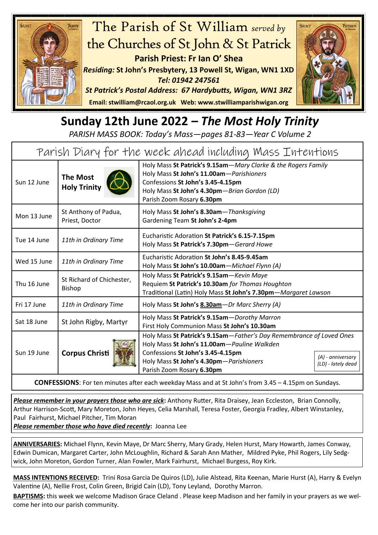

## **Sunday 12th June 2022** *– The Most Holy Trinity*

*PARISH MASS BOOK: Today's Mass—pages 81-83—Year C Volume 2*

| Parish Diary for the week ahead including Mass Intentions |                                            |                                                                                                                                                                                                                                  |                                         |  |
|-----------------------------------------------------------|--------------------------------------------|----------------------------------------------------------------------------------------------------------------------------------------------------------------------------------------------------------------------------------|-----------------------------------------|--|
| Sun 12 June                                               | <b>The Most</b><br><b>Holy Trinity</b>     | Holy Mass St Patrick's 9.15am-Mary Clarke & the Rogers Family<br>Holy Mass St John's 11.00am-Parishioners<br>Confessions St John's 3.45-4.15pm<br>Holy Mass St John's 4.30pm-Brian Gordon (LD)<br>Parish Zoom Rosary 6.30pm      |                                         |  |
| Mon 13 June                                               | St Anthony of Padua,<br>Priest, Doctor     | Holy Mass St John's 8.30am-Thanksgiving<br>Gardening Team St John's 2-4pm                                                                                                                                                        |                                         |  |
| Tue 14 June                                               | 11th in Ordinary Time                      | Eucharistic Adoration St Patrick's 6.15-7.15pm<br>Holy Mass St Patrick's 7.30pm-Gerard Howe                                                                                                                                      |                                         |  |
| Wed 15 June                                               | 11th in Ordinary Time                      | Eucharistic Adoration St John's 8.45-9.45am<br>Holy Mass St John's 10.00am-Michael Flynn (A)                                                                                                                                     |                                         |  |
| Thu 16 June                                               | St Richard of Chichester,<br><b>Bishop</b> | Holy Mass St Patrick's 9.15am-Kevin Maye<br>Requiem St Patrick's 10.30am for Thomas Houghton<br>Traditional (Latin) Holy Mass St John's 7.30pm-Margaret Lawson                                                                   |                                         |  |
| Fri 17 June                                               | 11th in Ordinary Time                      | Holy Mass St John's 8.30am-Dr Marc Sherry (A)                                                                                                                                                                                    |                                         |  |
| Sat 18 June                                               | St John Rigby, Martyr                      | Holy Mass St Patrick's 9.15am-Dorothy Marron<br>First Holy Communion Mass St John's 10.30am                                                                                                                                      |                                         |  |
| Sun 19 June                                               | <b>Corpus Christi</b>                      | Holy Mass St Patrick's 9.15am-Father's Day Remembrance of Loved Ones<br>Holy Mass St John's 11.00am-Pauline Walkden<br>Confessions St John's 3.45-4.15pm<br>Holy Mass St John's 4.30pm-Parishioners<br>Parish Zoom Rosary 6.30pm | (A) - anniversary<br>(LD) - lately dead |  |
|                                                           |                                            |                                                                                                                                                                                                                                  |                                         |  |

**CONFESSIONS**: For ten minutes after each weekday Mass and at St John's from 3.45 – 4.15pm on Sundays.

*Please remember in your prayers those who are sick***:** Anthony Rutter, Rita Draisey, Jean Eccleston, Brian Connolly, Arthur Harrison-Scott, Mary Moreton, John Heyes, Celia Marshall, Teresa Foster, Georgia Fradley, Albert Winstanley, Paul Fairhurst, Michael Pitcher, Tim Moran

*Please remember those who have died recently***:** Joanna Lee

**ANNIVERSARIES:** Michael Flynn, Kevin Maye, Dr Marc Sherry, Mary Grady, Helen Hurst, Mary Howarth, James Conway, Edwin Dumican, Margaret Carter, John McLoughlin, Richard & Sarah Ann Mather, Mildred Pyke, Phil Rogers, Lily Sedgwick, John Moreton, Gordon Turner, Alan Fowler, Mark Fairhurst, Michael Burgess, Roy Kirk.

**MASS INTENTIONS RECEIVED:** Trini Rosa Garcia De Quiros (LD), Julie Alstead, Rita Keenan, Marie Hurst (A), Harry & Evelyn Valentine (A), Nellie Frost, Colin Green, Brigid Cain (LD), Tony Leyland, Dorothy Marron.

**BAPTISMS:** this week we welcome Madison Grace Cleland . Please keep Madison and her family in your prayers as we welcome her into our parish community.